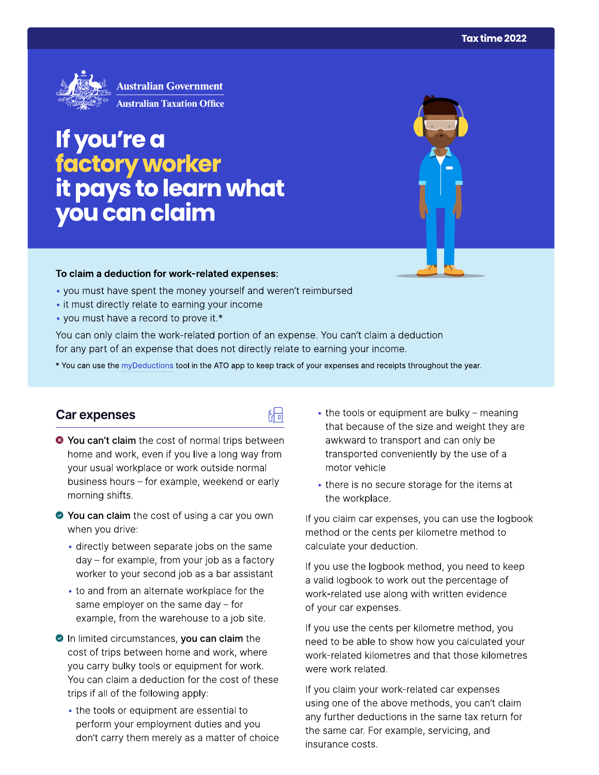

# If you're a factory worker<br>it pays to learn what<br>you can claim

#### To claim a deduction for work-related expenses:

- you must have spent the money yourself and weren't reimbursed
- it must directly relate to earning your income
- you must have a record to prove it.\*

You can only claim the work-related portion of an expense. You can't claim a deduction for any part of an expense that does not directly relate to earning your income.

\* You can use the myDeductions tool in the ATO app to keep track of your expenses and receipts throughout the year.

品

#### **Car expenses**

- <sup>●</sup> You can't claim the cost of normal trips between home and work, even if you live a long way from your usual workplace or work outside normal business hours - for example, weekend or early morning shifts.
- ◆ You can claim the cost of using a car you own when you drive:
	- · directly between separate jobs on the same day – for example, from your job as a factory worker to your second job as a bar assistant
	- to and from an alternate workplace for the same employer on the same day  $-$  for example, from the warehouse to a job site.
- In limited circumstances, you can claim the cost of trips between home and work, where you carry bulky tools or equipment for work. You can claim a deduction for the cost of these trips if all of the following apply:
	- the tools or equipment are essential to perform your employment duties and you don't carry them merely as a matter of choice
- the tools or equipment are bulky meaning that because of the size and weight they are awkward to transport and can only be transported conveniently by the use of a motor vehicle
- there is no secure storage for the items at the workplace.

If you claim car expenses, you can use the logbook method or the cents per kilometre method to calculate your deduction.

If you use the logbook method, you need to keep a valid logbook to work out the percentage of work-related use along with written evidence of your car expenses.

If you use the cents per kilometre method, you need to be able to show how you calculated your work-related kilometres and that those kilometres were work related.

If you claim your work-related car expenses using one of the above methods, you can't claim any further deductions in the same tax return for the same car. For example, servicing, and insurance costs.